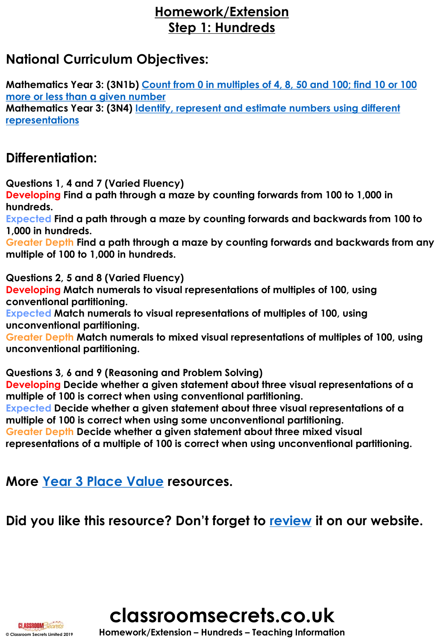## **Homework/Extension Step 1: Hundreds**

## **National Curriculum Objectives:**

**[Mathematics Year 3: \(3N1b\) Count from 0 in multiples of 4, 8, 50 and 100; find 10 or 100](https://classroomsecrets.co.uk/content-domain-filter/?fwp_contentdomain=3n1b) more or less than a given number [Mathematics Year 3: \(3N4\) Identify, represent and estimate numbers using different](https://classroomsecrets.co.uk/content-domain-filter/?fwp_contentdomain=3n4) representations**

## **Differentiation:**

**Questions 1, 4 and 7 (Varied Fluency) Developing Find a path through a maze by counting forwards from 100 to 1,000 in hundreds.**

**Expected Find a path through a maze by counting forwards and backwards from 100 to 1,000 in hundreds.**

**Greater Depth Find a path through a maze by counting forwards and backwards from any multiple of 100 to 1,000 in hundreds.**

**Questions 2, 5 and 8 (Varied Fluency)**

**Developing Match numerals to visual representations of multiples of 100, using conventional partitioning.**

**Expected Match numerals to visual representations of multiples of 100, using unconventional partitioning.**

**Greater Depth Match numerals to mixed visual representations of multiples of 100, using unconventional partitioning.**

**Questions 3, 6 and 9 (Reasoning and Problem Solving)**

**Developing Decide whether a given statement about three visual representations of a multiple of 100 is correct when using conventional partitioning.**

**Expected Decide whether a given statement about three visual representations of a multiple of 100 is correct when using some unconventional partitioning.**

**Greater Depth Decide whether a given statement about three mixed visual** 

**representations of a multiple of 100 is correct when using unconventional partitioning.**

**More [Year 3 Place Value](https://classroomsecrets.co.uk/category/maths/year-3/autumn-block-1-place-value-year-3/) resources.** 

**Did you like this resource? Don't forget to [review](https://classroomsecrets.co.uk/free-hundreds-homework-extension-year-3-place-value) it on our website.**



**CLASSROOM Secrets**<br>
© Classroom Secrets Limited 2019 **https://Extension – Hundreds – Teaching Information**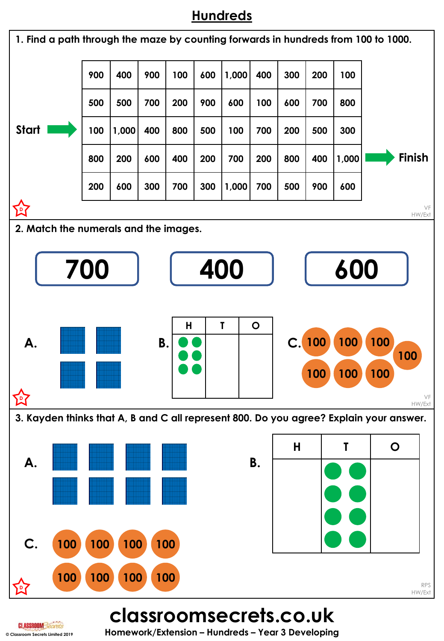## **Hundreds**



**CLASSROOM Secrets**<br>
© Classroom Secrets Limited 2019<br>
© Classroom Secrets Limited 2019<br> **Homework/Extension – Hundreds – Year 3 Developing**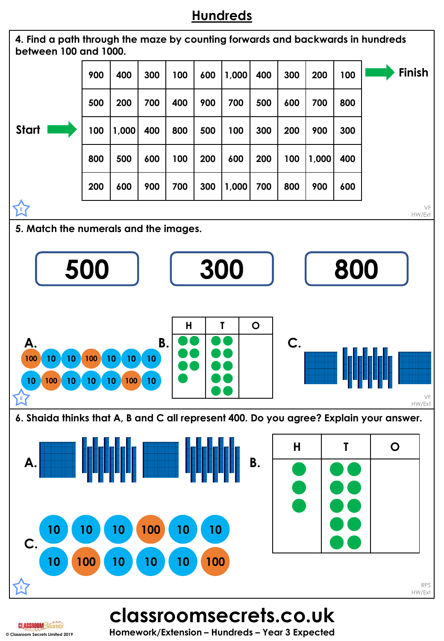## **Hundreds**



**CLASSROOM Secrets Limited 2019 CLASSROOM 3627826 Homework/Extension – Hundreds – Year 3 Expected**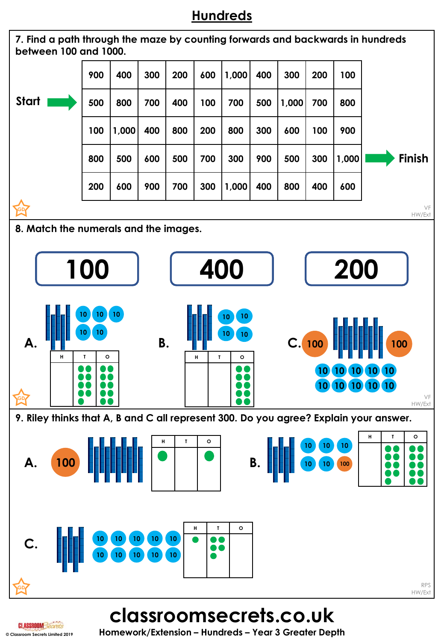# **Hundreds**



**classroomsecrets.co.uk**

**© Classroom Secrets Limited 2019 Homework/Extension – Hundreds – Year 3 Greater Depth**